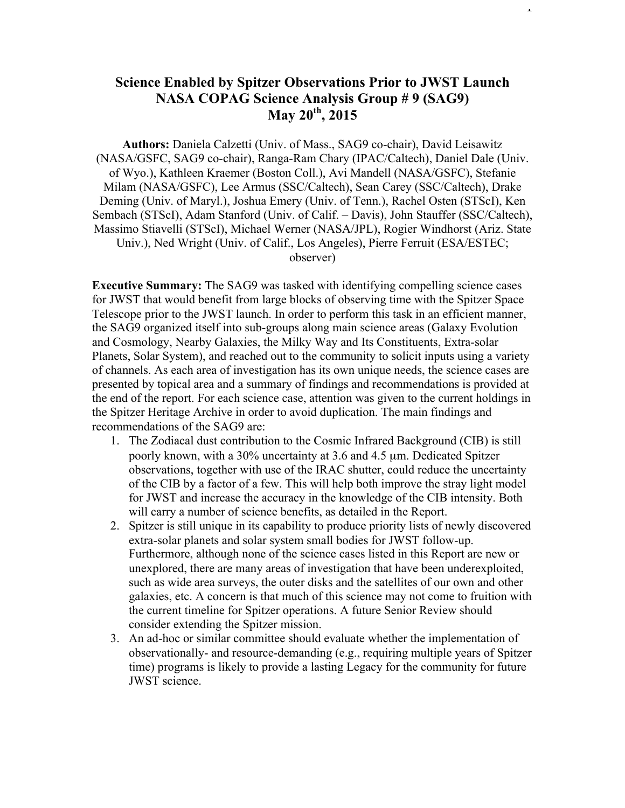## **Science Enabled by Spitzer Observations Prior to JWST Launch NASA COPAG Science Analysis Group # 9 (SAG9) May 20th , 2015**

**Authors:** Daniela Calzetti (Univ. of Mass., SAG9 co-chair), David Leisawitz (NASA/GSFC, SAG9 co-chair), Ranga-Ram Chary (IPAC/Caltech), Daniel Dale (Univ. of Wyo.), Kathleen Kraemer (Boston Coll.), Avi Mandell (NASA/GSFC), Stefanie Milam (NASA/GSFC), Lee Armus (SSC/Caltech), Sean Carey (SSC/Caltech), Drake Deming (Univ. of Maryl.), Joshua Emery (Univ. of Tenn.), Rachel Osten (STScI), Ken Sembach (STScI), Adam Stanford (Univ. of Calif. – Davis), John Stauffer (SSC/Caltech), Massimo Stiavelli (STScI), Michael Werner (NASA/JPL), Rogier Windhorst (Ariz. State Univ.), Ned Wright (Univ. of Calif., Los Angeles), Pierre Ferruit (ESA/ESTEC; observer)

**Executive Summary:** The SAG9 was tasked with identifying compelling science cases for JWST that would benefit from large blocks of observing time with the Spitzer Space Telescope prior to the JWST launch. In order to perform this task in an efficient manner, the SAG9 organized itself into sub-groups along main science areas (Galaxy Evolution and Cosmology, Nearby Galaxies, the Milky Way and Its Constituents, Extra-solar Planets, Solar System), and reached out to the community to solicit inputs using a variety of channels. As each area of investigation has its own unique needs, the science cases are presented by topical area and a summary of findings and recommendations is provided at the end of the report. For each science case, attention was given to the current holdings in the Spitzer Heritage Archive in order to avoid duplication. The main findings and recommendations of the SAG9 are:

- 1. The Zodiacal dust contribution to the Cosmic Infrared Background (CIB) is still poorly known, with a 30% uncertainty at 3.6 and 4.5 µm. Dedicated Spitzer observations, together with use of the IRAC shutter, could reduce the uncertainty of the CIB by a factor of a few. This will help both improve the stray light model for JWST and increase the accuracy in the knowledge of the CIB intensity. Both will carry a number of science benefits, as detailed in the Report.
- 2. Spitzer is still unique in its capability to produce priority lists of newly discovered extra-solar planets and solar system small bodies for JWST follow-up. Furthermore, although none of the science cases listed in this Report are new or unexplored, there are many areas of investigation that have been underexploited, such as wide area surveys, the outer disks and the satellites of our own and other galaxies, etc. A concern is that much of this science may not come to fruition with the current timeline for Spitzer operations. A future Senior Review should consider extending the Spitzer mission.
- 3. An ad-hoc or similar committee should evaluate whether the implementation of observationally- and resource-demanding (e.g., requiring multiple years of Spitzer time) programs is likely to provide a lasting Legacy for the community for future JWST science.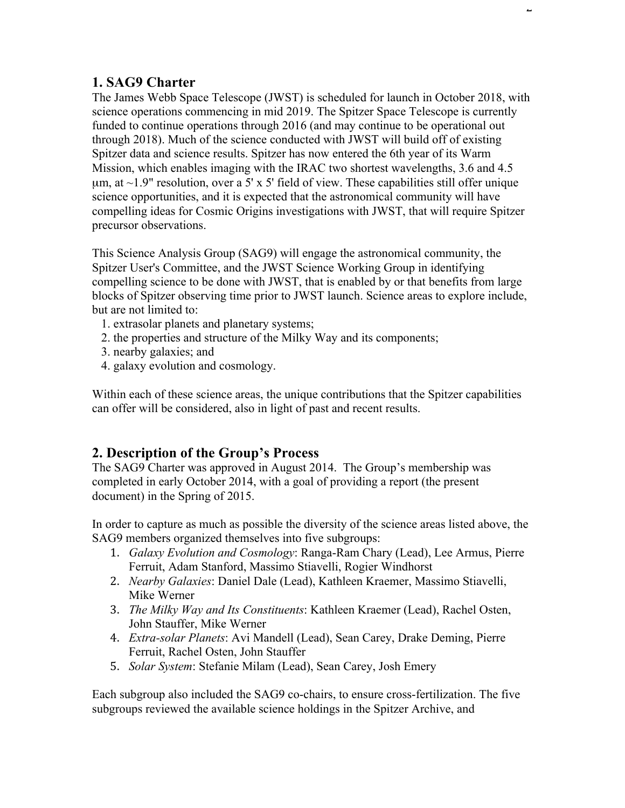# **1. SAG9 Charter**

The James Webb Space Telescope (JWST) is scheduled for launch in October 2018, with science operations commencing in mid 2019. The Spitzer Space Telescope is currently funded to continue operations through 2016 (and may continue to be operational out through 2018). Much of the science conducted with JWST will build off of existing Spitzer data and science results. Spitzer has now entered the 6th year of its Warm Mission, which enables imaging with the IRAC two shortest wavelengths, 3.6 and 4.5  $\mu$ m, at ~1.9" resolution, over a 5' x 5' field of view. These capabilities still offer unique science opportunities, and it is expected that the astronomical community will have compelling ideas for Cosmic Origins investigations with JWST, that will require Spitzer precursor observations.

This Science Analysis Group (SAG9) will engage the astronomical community, the Spitzer User's Committee, and the JWST Science Working Group in identifying compelling science to be done with JWST, that is enabled by or that benefits from large blocks of Spitzer observing time prior to JWST launch. Science areas to explore include, but are not limited to:

- 1. extrasolar planets and planetary systems;
- 2. the properties and structure of the Milky Way and its components;
- 3. nearby galaxies; and
- 4. galaxy evolution and cosmology.

Within each of these science areas, the unique contributions that the Spitzer capabilities can offer will be considered, also in light of past and recent results.

# **2. Description of the Group's Process**

The SAG9 Charter was approved in August 2014. The Group's membership was completed in early October 2014, with a goal of providing a report (the present document) in the Spring of 2015.

In order to capture as much as possible the diversity of the science areas listed above, the SAG9 members organized themselves into five subgroups:

- 1. *Galaxy Evolution and Cosmology*: Ranga-Ram Chary (Lead), Lee Armus, Pierre Ferruit, Adam Stanford, Massimo Stiavelli, Rogier Windhorst
- 2. *Nearby Galaxies*: Daniel Dale (Lead), Kathleen Kraemer, Massimo Stiavelli, Mike Werner
- 3. *The Milky Way and Its Constituents*: Kathleen Kraemer (Lead), Rachel Osten, John Stauffer, Mike Werner
- 4. *Extra-solar Planets*: Avi Mandell (Lead), Sean Carey, Drake Deming, Pierre Ferruit, Rachel Osten, John Stauffer
- 5. *Solar System*: Stefanie Milam (Lead), Sean Carey, Josh Emery

Each subgroup also included the SAG9 co-chairs, to ensure cross-fertilization. The five subgroups reviewed the available science holdings in the Spitzer Archive, and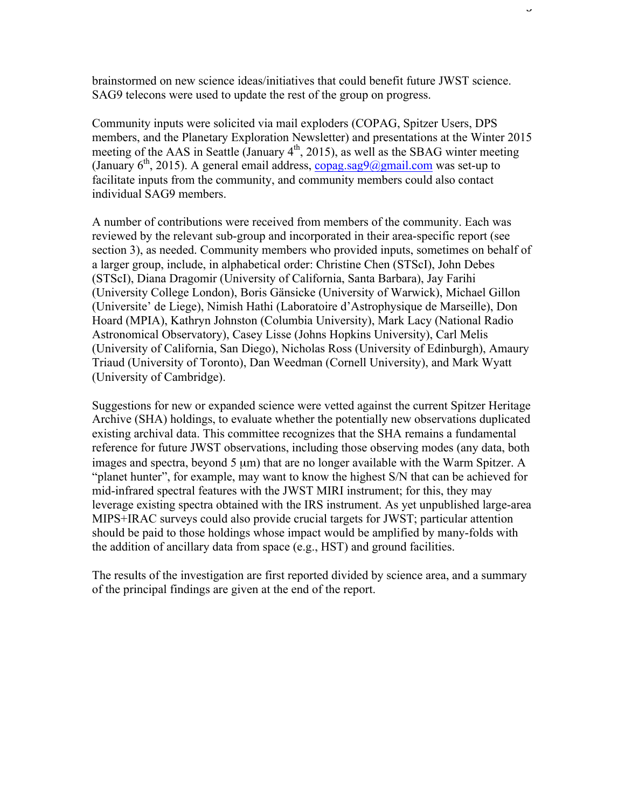brainstormed on new science ideas/initiatives that could benefit future JWST science. SAG9 telecons were used to update the rest of the group on progress.

Community inputs were solicited via mail exploders (COPAG, Spitzer Users, DPS members, and the Planetary Exploration Newsletter) and presentations at the Winter 2015 meeting of the AAS in Seattle (January  $4<sup>th</sup>$ , 2015), as well as the SBAG winter meeting (January  $6<sup>th</sup>$ , 2015). A general email address, copag.sag9@gmail.com was set-up to facilitate inputs from the community, and community members could also contact individual SAG9 members.

A number of contributions were received from members of the community. Each was reviewed by the relevant sub-group and incorporated in their area-specific report (see section 3), as needed. Community members who provided inputs, sometimes on behalf of a larger group, include, in alphabetical order: Christine Chen (STScI), John Debes (STScI), Diana Dragomir (University of California, Santa Barbara), Jay Farihi (University College London), Boris Gänsicke (University of Warwick), Michael Gillon (Universite' de Liege), Nimish Hathi (Laboratoire d'Astrophysique de Marseille), Don Hoard (MPIA), Kathryn Johnston (Columbia University), Mark Lacy (National Radio Astronomical Observatory), Casey Lisse (Johns Hopkins University), Carl Melis (University of California, San Diego), Nicholas Ross (University of Edinburgh), Amaury Triaud (University of Toronto), Dan Weedman (Cornell University), and Mark Wyatt (University of Cambridge).

Suggestions for new or expanded science were vetted against the current Spitzer Heritage Archive (SHA) holdings, to evaluate whether the potentially new observations duplicated existing archival data. This committee recognizes that the SHA remains a fundamental reference for future JWST observations, including those observing modes (any data, both images and spectra, beyond 5  $\mu$ m) that are no longer available with the Warm Spitzer. A "planet hunter", for example, may want to know the highest S/N that can be achieved for mid-infrared spectral features with the JWST MIRI instrument; for this, they may leverage existing spectra obtained with the IRS instrument. As yet unpublished large-area MIPS+IRAC surveys could also provide crucial targets for JWST; particular attention should be paid to those holdings whose impact would be amplified by many-folds with the addition of ancillary data from space (e.g., HST) and ground facilities.

The results of the investigation are first reported divided by science area, and a summary of the principal findings are given at the end of the report.

J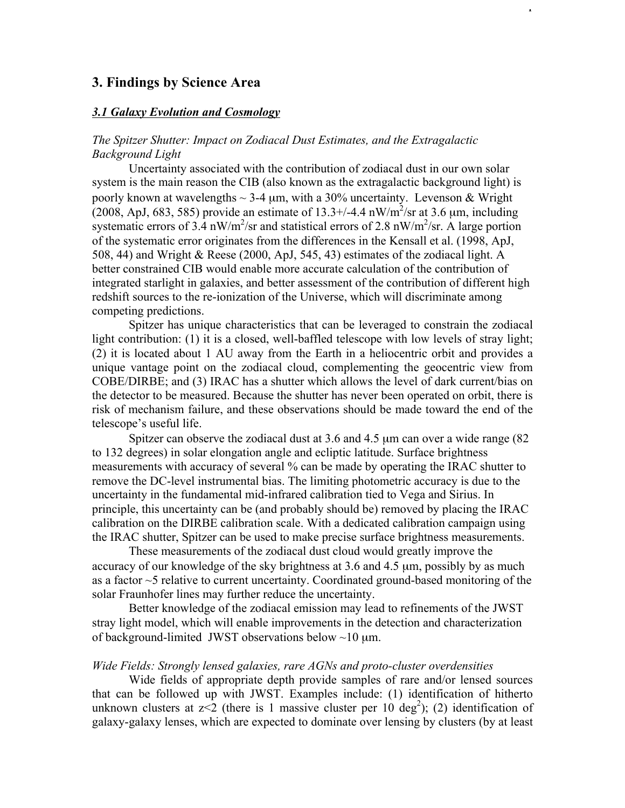## **3. Findings by Science Area**

#### *3.1 Galaxy Evolution and Cosmology*

## *The Spitzer Shutter: Impact on Zodiacal Dust Estimates, and the Extragalactic Background Light*

Uncertainty associated with the contribution of zodiacal dust in our own solar system is the main reason the CIB (also known as the extragalactic background light) is poorly known at wavelengths  $\sim$  3-4 µm, with a 30% uncertainty. Levenson & Wright (2008, ApJ, 683, 585) provide an estimate of  $13.3 + (-4.4 \text{ nW/m}^2/\text{sr} \text{ at } 3.6 \text{ µm}, \text{ including}$ systematic errors of  $3.4 \text{ nW/m}^2/\text{sr}$  and statistical errors of 2.8 nW/m<sup>2</sup>/sr. A large portion of the systematic error originates from the differences in the Kensall et al. (1998, ApJ, 508, 44) and Wright & Reese (2000, ApJ, 545, 43) estimates of the zodiacal light. A better constrained CIB would enable more accurate calculation of the contribution of integrated starlight in galaxies, and better assessment of the contribution of different high redshift sources to the re-ionization of the Universe, which will discriminate among competing predictions.

Spitzer has unique characteristics that can be leveraged to constrain the zodiacal light contribution: (1) it is a closed, well-baffled telescope with low levels of stray light; (2) it is located about 1 AU away from the Earth in a heliocentric orbit and provides a unique vantage point on the zodiacal cloud, complementing the geocentric view from COBE/DIRBE; and (3) IRAC has a shutter which allows the level of dark current/bias on the detector to be measured. Because the shutter has never been operated on orbit, there is risk of mechanism failure, and these observations should be made toward the end of the telescope's useful life.

Spitzer can observe the zodiacal dust at 3.6 and 4.5 µm can over a wide range (82 to 132 degrees) in solar elongation angle and ecliptic latitude. Surface brightness measurements with accuracy of several % can be made by operating the IRAC shutter to remove the DC-level instrumental bias. The limiting photometric accuracy is due to the uncertainty in the fundamental mid-infrared calibration tied to Vega and Sirius. In principle, this uncertainty can be (and probably should be) removed by placing the IRAC calibration on the DIRBE calibration scale. With a dedicated calibration campaign using the IRAC shutter, Spitzer can be used to make precise surface brightness measurements.

These measurements of the zodiacal dust cloud would greatly improve the accuracy of our knowledge of the sky brightness at 3.6 and 4.5 µm, possibly by as much as a factor ~5 relative to current uncertainty. Coordinated ground-based monitoring of the solar Fraunhofer lines may further reduce the uncertainty.

Better knowledge of the zodiacal emission may lead to refinements of the JWST stray light model, which will enable improvements in the detection and characterization of background-limited JWST observations below  $\sim$ 10 µm.

#### *Wide Fields: Strongly lensed galaxies, rare AGNs and proto-cluster overdensities*

Wide fields of appropriate depth provide samples of rare and/or lensed sources that can be followed up with JWST. Examples include: (1) identification of hitherto unknown clusters at  $z < 2$  (there is 1 massive cluster per 10 deg<sup>2</sup>); (2) identification of galaxy-galaxy lenses, which are expected to dominate over lensing by clusters (by at least

 $\overline{1}$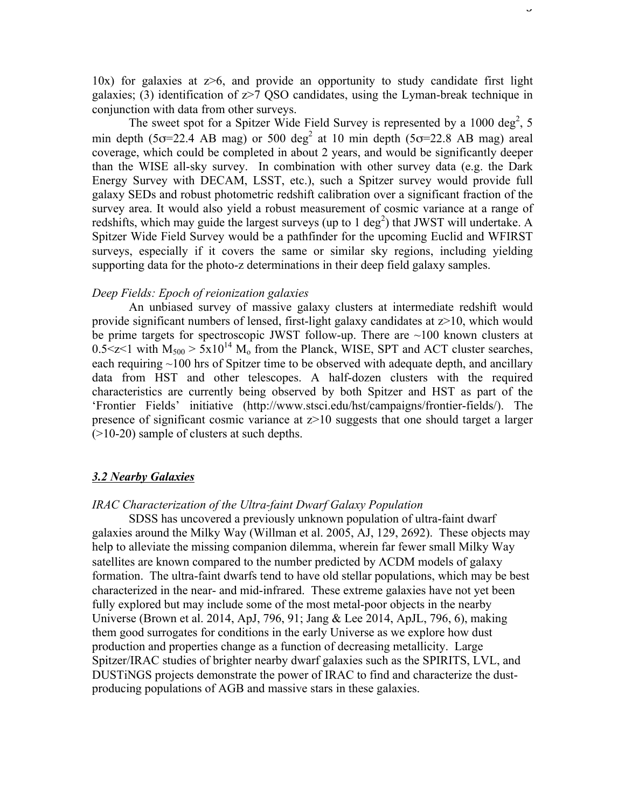10x) for galaxies at  $z\geq 6$ , and provide an opportunity to study candidate first light galaxies; (3) identification of  $z$  > 7 QSO candidates, using the Lyman-break technique in conjunction with data from other surveys.

The sweet spot for a Spitzer Wide Field Survey is represented by a 1000 deg<sup>2</sup>, 5 min depth (5 $\sigma$ =22.4 AB mag) or 500 deg<sup>2</sup> at 10 min depth (5 $\sigma$ =22.8 AB mag) areal coverage, which could be completed in about 2 years, and would be significantly deeper than the WISE all-sky survey. In combination with other survey data (e.g. the Dark Energy Survey with DECAM, LSST, etc.), such a Spitzer survey would provide full galaxy SEDs and robust photometric redshift calibration over a significant fraction of the survey area. It would also yield a robust measurement of cosmic variance at a range of redshifts, which may guide the largest surveys (up to 1 deg<sup>2</sup>) that JWST will undertake. A Spitzer Wide Field Survey would be a pathfinder for the upcoming Euclid and WFIRST surveys, especially if it covers the same or similar sky regions, including yielding supporting data for the photo-z determinations in their deep field galaxy samples.

#### *Deep Fields: Epoch of reionization galaxies*

An unbiased survey of massive galaxy clusters at intermediate redshift would provide significant numbers of lensed, first-light galaxy candidates at  $z>10$ , which would be prime targets for spectroscopic JWST follow-up. There are ~100 known clusters at  $0.5 \le z \le 1$  with  $M_{500} > 5x10^{14}$   $M_0$  from the Planck, WISE, SPT and ACT cluster searches, each requiring ~100 hrs of Spitzer time to be observed with adequate depth, and ancillary data from HST and other telescopes. A half-dozen clusters with the required characteristics are currently being observed by both Spitzer and HST as part of the 'Frontier Fields' initiative (http://www.stsci.edu/hst/campaigns/frontier-fields/). The presence of significant cosmic variance at  $z$  > 10 suggests that one should target a larger (>10-20) sample of clusters at such depths.

## *3.2 Nearby Galaxies*

## *IRAC Characterization of the Ultra-faint Dwarf Galaxy Population*

SDSS has uncovered a previously unknown population of ultra-faint dwarf galaxies around the Milky Way (Willman et al. 2005, AJ, 129, 2692). These objects may help to alleviate the missing companion dilemma, wherein far fewer small Milky Way satellites are known compared to the number predicted by ΛCDM models of galaxy formation. The ultra-faint dwarfs tend to have old stellar populations, which may be best characterized in the near- and mid-infrared. These extreme galaxies have not yet been fully explored but may include some of the most metal-poor objects in the nearby Universe (Brown et al. 2014, ApJ, 796, 91; Jang & Lee 2014, ApJL, 796, 6), making them good surrogates for conditions in the early Universe as we explore how dust production and properties change as a function of decreasing metallicity. Large Spitzer/IRAC studies of brighter nearby dwarf galaxies such as the SPIRITS, LVL, and DUSTiNGS projects demonstrate the power of IRAC to find and characterize the dustproducing populations of AGB and massive stars in these galaxies.

J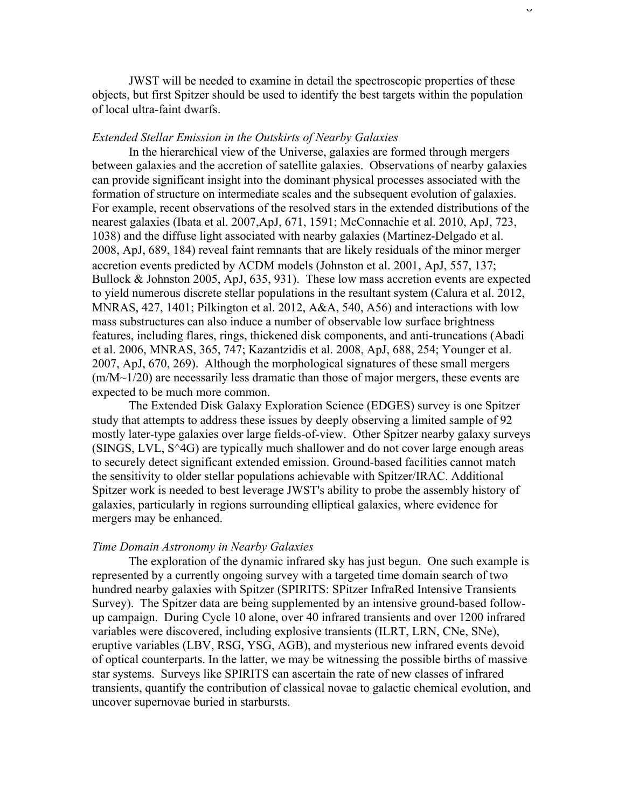JWST will be needed to examine in detail the spectroscopic properties of these objects, but first Spitzer should be used to identify the best targets within the population of local ultra-faint dwarfs.

#### *Extended Stellar Emission in the Outskirts of Nearby Galaxies*

In the hierarchical view of the Universe, galaxies are formed through mergers between galaxies and the accretion of satellite galaxies. Observations of nearby galaxies can provide significant insight into the dominant physical processes associated with the formation of structure on intermediate scales and the subsequent evolution of galaxies. For example, recent observations of the resolved stars in the extended distributions of the nearest galaxies (Ibata et al. 2007,ApJ, 671, 1591; McConnachie et al. 2010, ApJ, 723, 1038) and the diffuse light associated with nearby galaxies (Martinez-Delgado et al. 2008, ApJ, 689, 184) reveal faint remnants that are likely residuals of the minor merger accretion events predicted by ΛCDM models (Johnston et al. 2001, ApJ, 557, 137; Bullock & Johnston 2005, ApJ, 635, 931). These low mass accretion events are expected to yield numerous discrete stellar populations in the resultant system (Calura et al. 2012, MNRAS, 427, 1401; Pilkington et al. 2012, A&A, 540, A56) and interactions with low mass substructures can also induce a number of observable low surface brightness features, including flares, rings, thickened disk components, and anti-truncations (Abadi et al. 2006, MNRAS, 365, 747; Kazantzidis et al. 2008, ApJ, 688, 254; Younger et al. 2007, ApJ, 670, 269). Although the morphological signatures of these small mergers (m/M~1/20) are necessarily less dramatic than those of major mergers, these events are expected to be much more common.

The Extended Disk Galaxy Exploration Science (EDGES) survey is one Spitzer study that attempts to address these issues by deeply observing a limited sample of 92 mostly later-type galaxies over large fields-of-view. Other Spitzer nearby galaxy surveys (SINGS, LVL, S^4G) are typically much shallower and do not cover large enough areas to securely detect significant extended emission. Ground-based facilities cannot match the sensitivity to older stellar populations achievable with Spitzer/IRAC. Additional Spitzer work is needed to best leverage JWST's ability to probe the assembly history of galaxies, particularly in regions surrounding elliptical galaxies, where evidence for mergers may be enhanced.

#### *Time Domain Astronomy in Nearby Galaxies*

The exploration of the dynamic infrared sky has just begun. One such example is represented by a currently ongoing survey with a targeted time domain search of two hundred nearby galaxies with Spitzer (SPIRITS: SPitzer InfraRed Intensive Transients Survey). The Spitzer data are being supplemented by an intensive ground-based followup campaign. During Cycle 10 alone, over 40 infrared transients and over 1200 infrared variables were discovered, including explosive transients (ILRT, LRN, CNe, SNe), eruptive variables (LBV, RSG, YSG, AGB), and mysterious new infrared events devoid of optical counterparts. In the latter, we may be witnessing the possible births of massive star systems. Surveys like SPIRITS can ascertain the rate of new classes of infrared transients, quantify the contribution of classical novae to galactic chemical evolution, and uncover supernovae buried in starbursts.

 $\cup$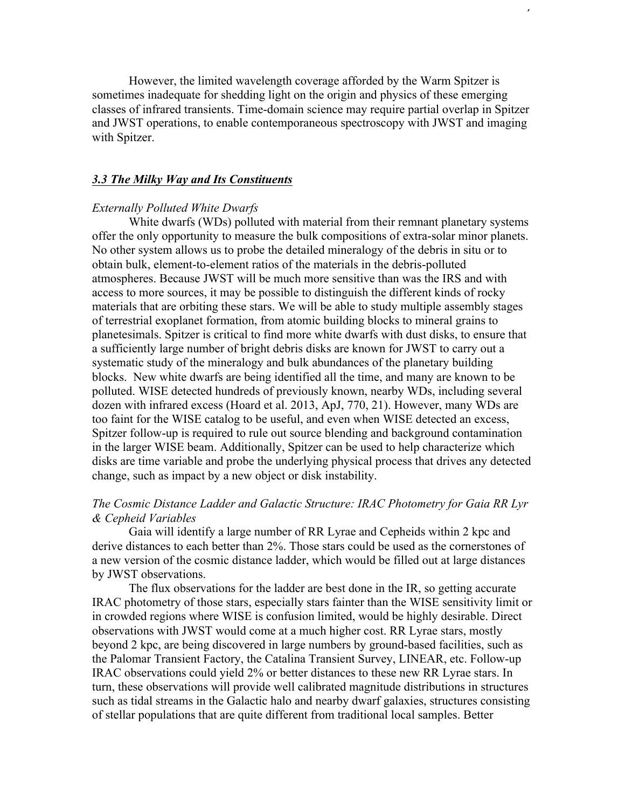However, the limited wavelength coverage afforded by the Warm Spitzer is sometimes inadequate for shedding light on the origin and physics of these emerging classes of infrared transients. Time-domain science may require partial overlap in Spitzer and JWST operations, to enable contemporaneous spectroscopy with JWST and imaging with Spitzer.

### *3.3 The Milky Way and Its Constituents*

#### *Externally Polluted White Dwarfs*

White dwarfs (WDs) polluted with material from their remnant planetary systems offer the only opportunity to measure the bulk compositions of extra-solar minor planets. No other system allows us to probe the detailed mineralogy of the debris in situ or to obtain bulk, element-to-element ratios of the materials in the debris-polluted atmospheres. Because JWST will be much more sensitive than was the IRS and with access to more sources, it may be possible to distinguish the different kinds of rocky materials that are orbiting these stars. We will be able to study multiple assembly stages of terrestrial exoplanet formation, from atomic building blocks to mineral grains to planetesimals. Spitzer is critical to find more white dwarfs with dust disks, to ensure that a sufficiently large number of bright debris disks are known for JWST to carry out a systematic study of the mineralogy and bulk abundances of the planetary building blocks. New white dwarfs are being identified all the time, and many are known to be polluted. WISE detected hundreds of previously known, nearby WDs, including several dozen with infrared excess (Hoard et al. 2013, ApJ, 770, 21). However, many WDs are too faint for the WISE catalog to be useful, and even when WISE detected an excess, Spitzer follow-up is required to rule out source blending and background contamination in the larger WISE beam. Additionally, Spitzer can be used to help characterize which disks are time variable and probe the underlying physical process that drives any detected change, such as impact by a new object or disk instability.

## *The Cosmic Distance Ladder and Galactic Structure: IRAC Photometry for Gaia RR Lyr & Cepheid Variables*

Gaia will identify a large number of RR Lyrae and Cepheids within 2 kpc and derive distances to each better than 2%. Those stars could be used as the cornerstones of a new version of the cosmic distance ladder, which would be filled out at large distances by JWST observations.

The flux observations for the ladder are best done in the IR, so getting accurate IRAC photometry of those stars, especially stars fainter than the WISE sensitivity limit or in crowded regions where WISE is confusion limited, would be highly desirable. Direct observations with JWST would come at a much higher cost. RR Lyrae stars, mostly beyond 2 kpc, are being discovered in large numbers by ground-based facilities, such as the Palomar Transient Factory, the Catalina Transient Survey, LINEAR, etc. Follow-up IRAC observations could yield 2% or better distances to these new RR Lyrae stars. In turn, these observations will provide well calibrated magnitude distributions in structures such as tidal streams in the Galactic halo and nearby dwarf galaxies, structures consisting of stellar populations that are quite different from traditional local samples. Better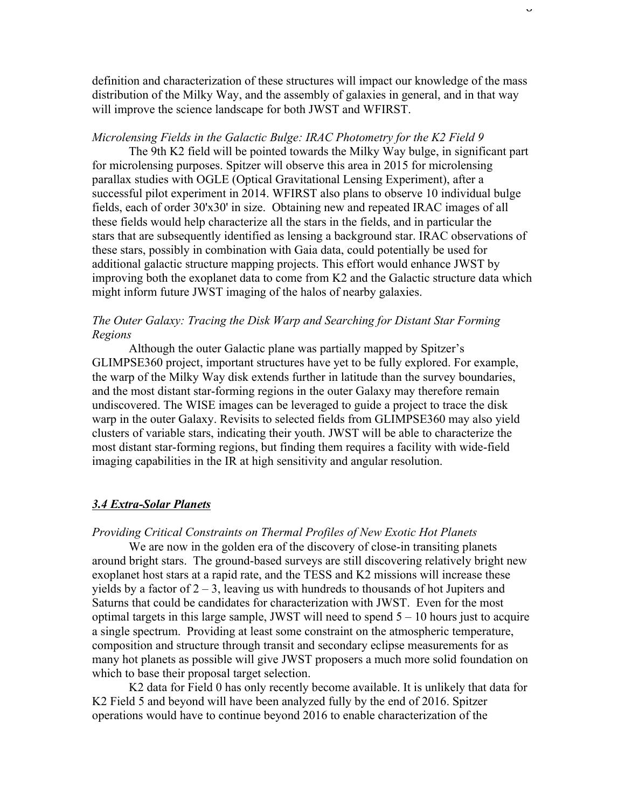definition and characterization of these structures will impact our knowledge of the mass distribution of the Milky Way, and the assembly of galaxies in general, and in that way will improve the science landscape for both JWST and WFIRST.

#### *Microlensing Fields in the Galactic Bulge: IRAC Photometry for the K2 Field 9*

The 9th K2 field will be pointed towards the Milky Way bulge, in significant part for microlensing purposes. Spitzer will observe this area in 2015 for microlensing parallax studies with OGLE (Optical Gravitational Lensing Experiment), after a successful pilot experiment in 2014. WFIRST also plans to observe 10 individual bulge fields, each of order 30'x30' in size. Obtaining new and repeated IRAC images of all these fields would help characterize all the stars in the fields, and in particular the stars that are subsequently identified as lensing a background star. IRAC observations of these stars, possibly in combination with Gaia data, could potentially be used for additional galactic structure mapping projects. This effort would enhance JWST by improving both the exoplanet data to come from K2 and the Galactic structure data which might inform future JWST imaging of the halos of nearby galaxies.

## *The Outer Galaxy: Tracing the Disk Warp and Searching for Distant Star Forming Regions*

Although the outer Galactic plane was partially mapped by Spitzer's GLIMPSE360 project, important structures have yet to be fully explored. For example, the warp of the Milky Way disk extends further in latitude than the survey boundaries, and the most distant star-forming regions in the outer Galaxy may therefore remain undiscovered. The WISE images can be leveraged to guide a project to trace the disk warp in the outer Galaxy. Revisits to selected fields from GLIMPSE360 may also yield clusters of variable stars, indicating their youth. JWST will be able to characterize the most distant star-forming regions, but finding them requires a facility with wide-field imaging capabilities in the IR at high sensitivity and angular resolution.

## *3.4 Extra-Solar Planets*

#### *Providing Critical Constraints on Thermal Profiles of New Exotic Hot Planets*

We are now in the golden era of the discovery of close-in transiting planets around bright stars. The ground-based surveys are still discovering relatively bright new exoplanet host stars at a rapid rate, and the TESS and K2 missions will increase these yields by a factor of  $2 - 3$ , leaving us with hundreds to thousands of hot Jupiters and Saturns that could be candidates for characterization with JWST. Even for the most optimal targets in this large sample, JWST will need to spend  $5 - 10$  hours just to acquire a single spectrum. Providing at least some constraint on the atmospheric temperature, composition and structure through transit and secondary eclipse measurements for as many hot planets as possible will give JWST proposers a much more solid foundation on which to base their proposal target selection.

K2 data for Field 0 has only recently become available. It is unlikely that data for K2 Field 5 and beyond will have been analyzed fully by the end of 2016. Spitzer operations would have to continue beyond 2016 to enable characterization of the

 $\ddot{\phantom{0}}$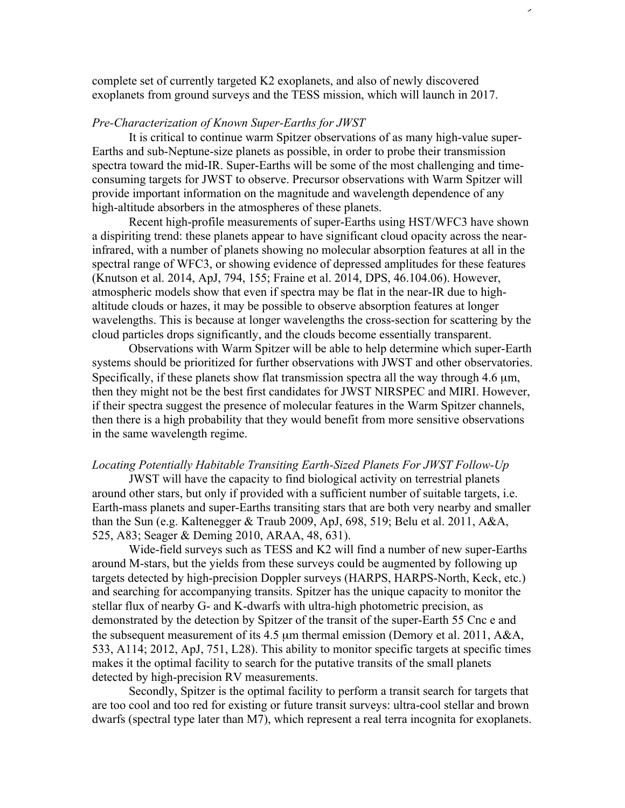complete set of currently targeted K2 exoplanets, and also of newly discovered exoplanets from ground surveys and the TESS mission, which will launch in 2017.

#### *Pre-Characterization of Known Super-Earths for JWST*

It is critical to continue warm Spitzer observations of as many high-value super-Earths and sub-Neptune-size planets as possible, in order to probe their transmission spectra toward the mid-IR. Super-Earths will be some of the most challenging and timeconsuming targets for JWST to observe. Precursor observations with Warm Spitzer will provide important information on the magnitude and wavelength dependence of any high-altitude absorbers in the atmospheres of these planets.

Recent high-profile measurements of super-Earths using HST/WFC3 have shown a dispiriting trend: these planets appear to have significant cloud opacity across the nearinfrared, with a number of planets showing no molecular absorption features at all in the spectral range of WFC3, or showing evidence of depressed amplitudes for these features (Knutson et al. 2014, ApJ, 794, 155; Fraine et al. 2014, DPS, 46.104.06). However, atmospheric models show that even if spectra may be flat in the near-IR due to highaltitude clouds or hazes, it may be possible to observe absorption features at longer wavelengths. This is because at longer wavelengths the cross-section for scattering by the cloud particles drops significantly, and the clouds become essentially transparent.

Observations with Warm Spitzer will be able to help determine which super-Earth systems should be prioritized for further observations with JWST and other observatories. Specifically, if these planets show flat transmission spectra all the way through 4.6  $\mu$ m, then they might not be the best first candidates for JWST NIRSPEC and MIRI. However, if their spectra suggest the presence of molecular features in the Warm Spitzer channels, then there is a high probability that they would benefit from more sensitive observations in the same wavelength regime.

#### *Locating Potentially Habitable Transiting Earth-Sized Planets For JWST Follow-Up*

JWST will have the capacity to find biological activity on terrestrial planets around other stars, but only if provided with a sufficient number of suitable targets, i.e. Earth-mass planets and super-Earths transiting stars that are both very nearby and smaller than the Sun (e.g. Kaltenegger & Traub 2009, ApJ, 698, 519; Belu et al. 2011, A&A, 525, A83; Seager & Deming 2010, ARAA, 48, 631).

Wide-field surveys such as TESS and K2 will find a number of new super-Earths around M-stars, but the yields from these surveys could be augmented by following up targets detected by high-precision Doppler surveys (HARPS, HARPS-North, Keck, etc.) and searching for accompanying transits. Spitzer has the unique capacity to monitor the stellar flux of nearby G- and K-dwarfs with ultra-high photometric precision, as demonstrated by the detection by Spitzer of the transit of the super-Earth 55 Cnc e and the subsequent measurement of its 4.5 µm thermal emission (Demory et al. 2011, A&A, 533, A114; 2012, ApJ, 751, L28). This ability to monitor specific targets at specific times makes it the optimal facility to search for the putative transits of the small planets detected by high-precision RV measurements.

Secondly, Spitzer is the optimal facility to perform a transit search for targets that are too cool and too red for existing or future transit surveys: ultra-cool stellar and brown dwarfs (spectral type later than M7), which represent a real terra incognita for exoplanets.

 $\overline{9}$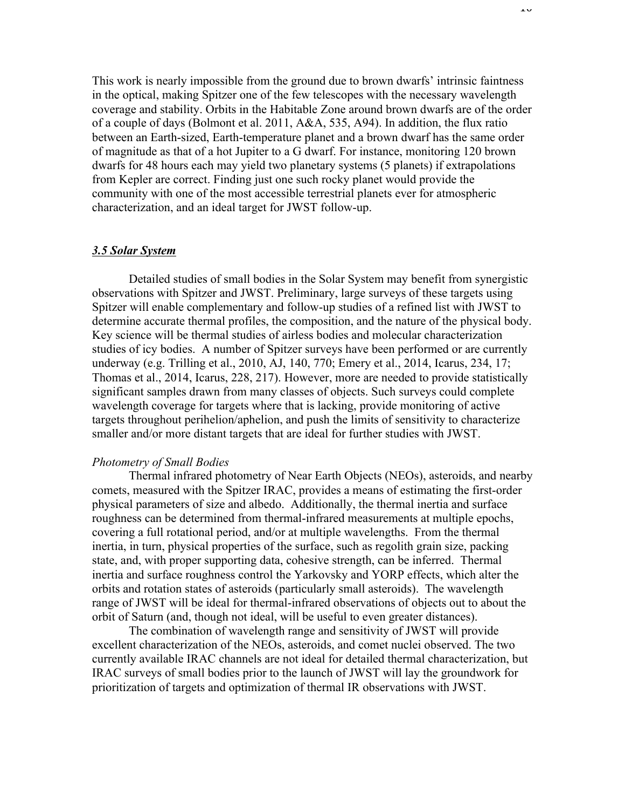This work is nearly impossible from the ground due to brown dwarfs' intrinsic faintness in the optical, making Spitzer one of the few telescopes with the necessary wavelength coverage and stability. Orbits in the Habitable Zone around brown dwarfs are of the order of a couple of days (Bolmont et al. 2011, A&A, 535, A94). In addition, the flux ratio between an Earth-sized, Earth-temperature planet and a brown dwarf has the same order of magnitude as that of a hot Jupiter to a G dwarf. For instance, monitoring 120 brown dwarfs for 48 hours each may yield two planetary systems (5 planets) if extrapolations from Kepler are correct. Finding just one such rocky planet would provide the community with one of the most accessible terrestrial planets ever for atmospheric characterization, and an ideal target for JWST follow-up.

#### *3.5 Solar System*

Detailed studies of small bodies in the Solar System may benefit from synergistic observations with Spitzer and JWST. Preliminary, large surveys of these targets using Spitzer will enable complementary and follow-up studies of a refined list with JWST to determine accurate thermal profiles, the composition, and the nature of the physical body. Key science will be thermal studies of airless bodies and molecular characterization studies of icy bodies. A number of Spitzer surveys have been performed or are currently underway (e.g. Trilling et al., 2010, AJ, 140, 770; Emery et al., 2014, Icarus, 234, 17; Thomas et al., 2014, Icarus, 228, 217). However, more are needed to provide statistically significant samples drawn from many classes of objects. Such surveys could complete wavelength coverage for targets where that is lacking, provide monitoring of active targets throughout perihelion/aphelion, and push the limits of sensitivity to characterize smaller and/or more distant targets that are ideal for further studies with JWST.

#### *Photometry of Small Bodies*

Thermal infrared photometry of Near Earth Objects (NEOs), asteroids, and nearby comets, measured with the Spitzer IRAC, provides a means of estimating the first-order physical parameters of size and albedo. Additionally, the thermal inertia and surface roughness can be determined from thermal-infrared measurements at multiple epochs, covering a full rotational period, and/or at multiple wavelengths. From the thermal inertia, in turn, physical properties of the surface, such as regolith grain size, packing state, and, with proper supporting data, cohesive strength, can be inferred. Thermal inertia and surface roughness control the Yarkovsky and YORP effects, which alter the orbits and rotation states of asteroids (particularly small asteroids). The wavelength range of JWST will be ideal for thermal-infrared observations of objects out to about the orbit of Saturn (and, though not ideal, will be useful to even greater distances).

The combination of wavelength range and sensitivity of JWST will provide excellent characterization of the NEOs, asteroids, and comet nuclei observed. The two currently available IRAC channels are not ideal for detailed thermal characterization, but IRAC surveys of small bodies prior to the launch of JWST will lay the groundwork for prioritization of targets and optimization of thermal IR observations with JWST.

1<sup>0</sup>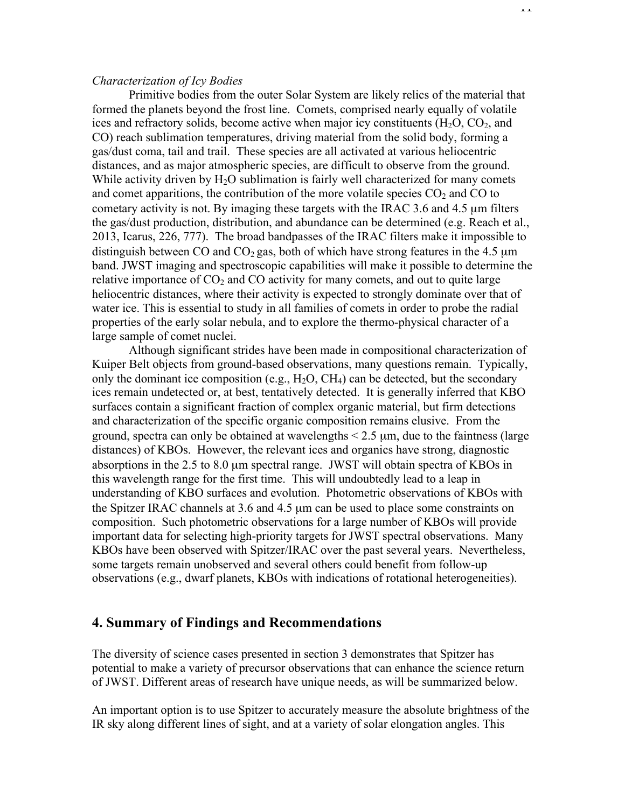### *Characterization of Icy Bodies*

Primitive bodies from the outer Solar System are likely relics of the material that formed the planets beyond the frost line. Comets, comprised nearly equally of volatile ices and refractory solids, become active when major icy constituents  $(H_2O, CO_2, and)$ CO) reach sublimation temperatures, driving material from the solid body, forming a gas/dust coma, tail and trail. These species are all activated at various heliocentric distances, and as major atmospheric species, are difficult to observe from the ground. While activity driven by  $H_2O$  sublimation is fairly well characterized for many comets and comet apparitions, the contribution of the more volatile species  $CO<sub>2</sub>$  and CO to cometary activity is not. By imaging these targets with the IRAC 3.6 and 4.5 µm filters the gas/dust production, distribution, and abundance can be determined (e.g. Reach et al., 2013, Icarus, 226, 777). The broad bandpasses of the IRAC filters make it impossible to distinguish between CO and  $CO<sub>2</sub>$  gas, both of which have strong features in the 4.5  $\mu$ m band. JWST imaging and spectroscopic capabilities will make it possible to determine the relative importance of  $CO<sub>2</sub>$  and  $CO$  activity for many comets, and out to quite large heliocentric distances, where their activity is expected to strongly dominate over that of water ice. This is essential to study in all families of comets in order to probe the radial properties of the early solar nebula, and to explore the thermo-physical character of a large sample of comet nuclei.

Although significant strides have been made in compositional characterization of Kuiper Belt objects from ground-based observations, many questions remain. Typically, only the dominant ice composition (e.g.,  $H_2O$ ,  $CH_4$ ) can be detected, but the secondary ices remain undetected or, at best, tentatively detected. It is generally inferred that KBO surfaces contain a significant fraction of complex organic material, but firm detections and characterization of the specific organic composition remains elusive. From the ground, spectra can only be obtained at wavelengths  $\leq$  2.5  $\mu$ m, due to the faintness (large distances) of KBOs. However, the relevant ices and organics have strong, diagnostic absorptions in the 2.5 to 8.0 µm spectral range. JWST will obtain spectra of KBOs in this wavelength range for the first time. This will undoubtedly lead to a leap in understanding of KBO surfaces and evolution. Photometric observations of KBOs with the Spitzer IRAC channels at 3.6 and 4.5 µm can be used to place some constraints on composition. Such photometric observations for a large number of KBOs will provide important data for selecting high-priority targets for JWST spectral observations. Many KBOs have been observed with Spitzer/IRAC over the past several years. Nevertheless, some targets remain unobserved and several others could benefit from follow-up observations (e.g., dwarf planets, KBOs with indications of rotational heterogeneities).

## **4. Summary of Findings and Recommendations**

The diversity of science cases presented in section 3 demonstrates that Spitzer has potential to make a variety of precursor observations that can enhance the science return of JWST. Different areas of research have unique needs, as will be summarized below.

An important option is to use Spitzer to accurately measure the absolute brightness of the IR sky along different lines of sight, and at a variety of solar elongation angles. This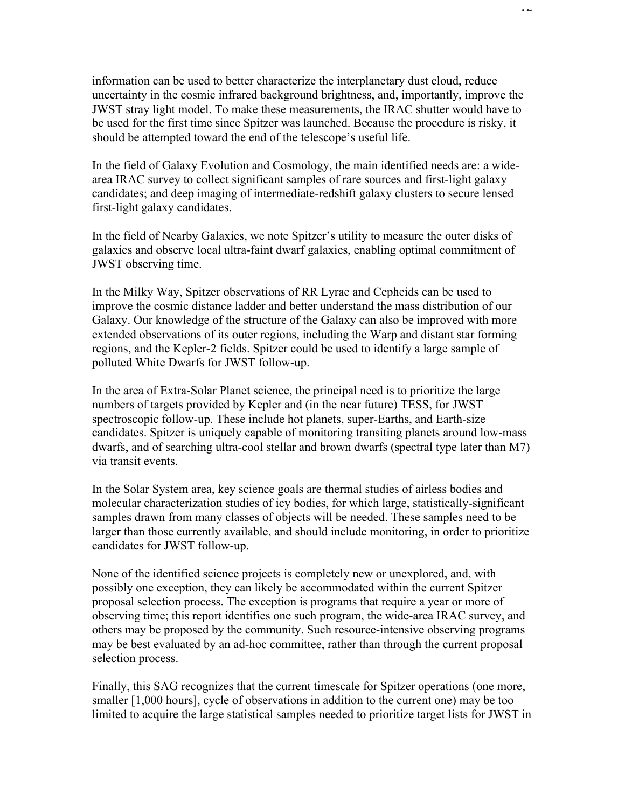information can be used to better characterize the interplanetary dust cloud, reduce uncertainty in the cosmic infrared background brightness, and, importantly, improve the JWST stray light model. To make these measurements, the IRAC shutter would have to be used for the first time since Spitzer was launched. Because the procedure is risky, it should be attempted toward the end of the telescope's useful life.

In the field of Galaxy Evolution and Cosmology, the main identified needs are: a widearea IRAC survey to collect significant samples of rare sources and first-light galaxy candidates; and deep imaging of intermediate-redshift galaxy clusters to secure lensed first-light galaxy candidates.

In the field of Nearby Galaxies, we note Spitzer's utility to measure the outer disks of galaxies and observe local ultra-faint dwarf galaxies, enabling optimal commitment of JWST observing time.

In the Milky Way, Spitzer observations of RR Lyrae and Cepheids can be used to improve the cosmic distance ladder and better understand the mass distribution of our Galaxy. Our knowledge of the structure of the Galaxy can also be improved with more extended observations of its outer regions, including the Warp and distant star forming regions, and the Kepler-2 fields. Spitzer could be used to identify a large sample of polluted White Dwarfs for JWST follow-up.

In the area of Extra-Solar Planet science, the principal need is to prioritize the large numbers of targets provided by Kepler and (in the near future) TESS, for JWST spectroscopic follow-up. These include hot planets, super-Earths, and Earth-size candidates. Spitzer is uniquely capable of monitoring transiting planets around low-mass dwarfs, and of searching ultra-cool stellar and brown dwarfs (spectral type later than M7) via transit events.

In the Solar System area, key science goals are thermal studies of airless bodies and molecular characterization studies of icy bodies, for which large, statistically-significant samples drawn from many classes of objects will be needed. These samples need to be larger than those currently available, and should include monitoring, in order to prioritize candidates for JWST follow-up.

None of the identified science projects is completely new or unexplored, and, with possibly one exception, they can likely be accommodated within the current Spitzer proposal selection process. The exception is programs that require a year or more of observing time; this report identifies one such program, the wide-area IRAC survey, and others may be proposed by the community. Such resource-intensive observing programs may be best evaluated by an ad-hoc committee, rather than through the current proposal selection process.

Finally, this SAG recognizes that the current timescale for Spitzer operations (one more, smaller [1,000 hours], cycle of observations in addition to the current one) may be too limited to acquire the large statistical samples needed to prioritize target lists for JWST in